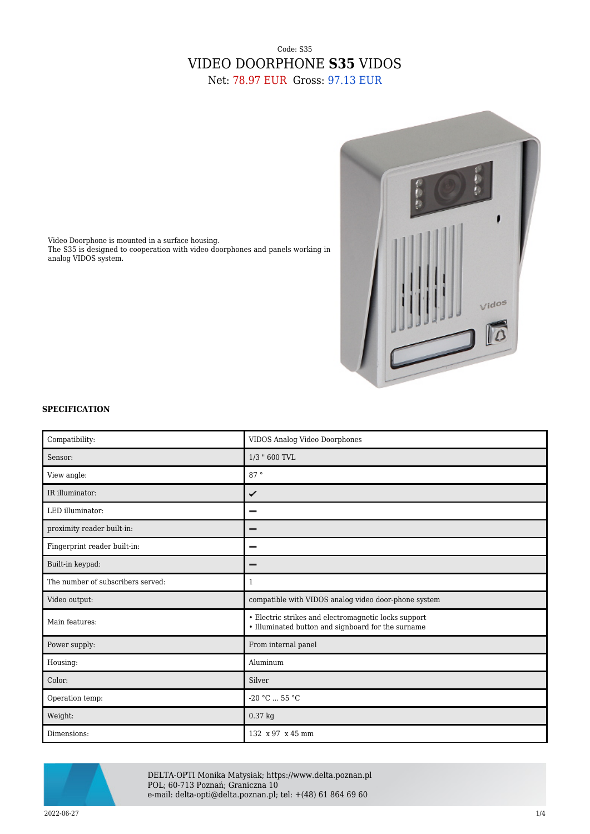# Code: S35 VIDEO DOORPHONE **S35** VIDOS Net: 78.97 EUR Gross: 97.13 EUR



Video Doorphone is mounted in a surface housing. The S35 is designed to cooperation with video doorphones and panels working in analog VIDOS system.

### **SPECIFICATION**

| Compatibility:                    | VIDOS Analog Video Doorphones                                                                              |
|-----------------------------------|------------------------------------------------------------------------------------------------------------|
| Sensor:                           | 1/3 " 600 TVL                                                                                              |
| View angle:                       | 87°                                                                                                        |
| IR illuminator:                   | ✓                                                                                                          |
| LED illuminator:                  |                                                                                                            |
| proximity reader built-in:        | -                                                                                                          |
| Fingerprint reader built-in:      | $\overline{\phantom{0}}$                                                                                   |
| Built-in keypad:                  | -                                                                                                          |
| The number of subscribers served: | $\mathbf{1}$                                                                                               |
| Video output:                     | compatible with VIDOS analog video door-phone system                                                       |
| Main features:                    | • Electric strikes and electromagnetic locks support<br>• Illuminated button and signboard for the surname |
| Power supply:                     | From internal panel                                                                                        |
| Housing:                          | Aluminum                                                                                                   |
| Color:                            | Silver                                                                                                     |
| Operation temp:                   | $-20 °C  55 °C$                                                                                            |
| Weight:                           | 0.37 kg                                                                                                    |
| Dimensions:                       | 132 x 97 x 45 mm                                                                                           |



DELTA-OPTI Monika Matysiak; https://www.delta.poznan.pl POL; 60-713 Poznań; Graniczna 10 e-mail: delta-opti@delta.poznan.pl; tel: +(48) 61 864 69 60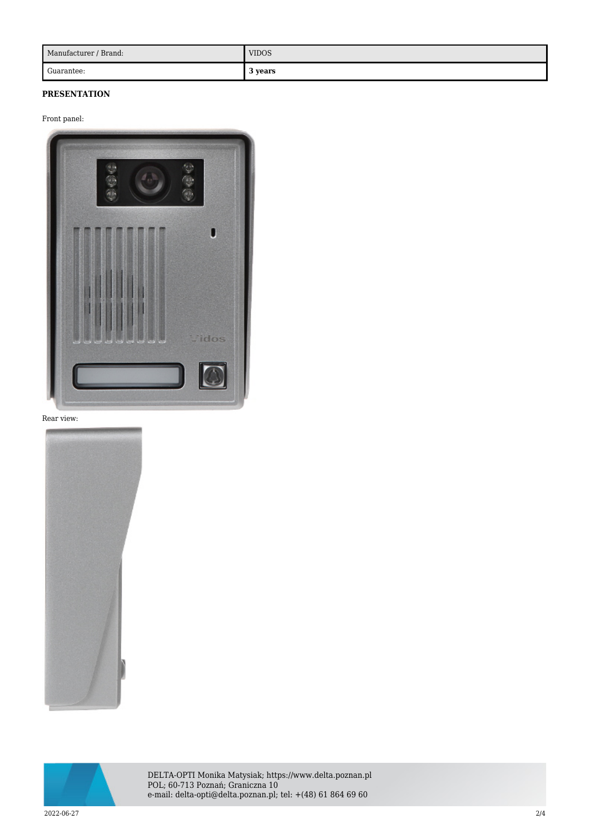| Manufacturer / Brand: | <b>VIDOS</b> |
|-----------------------|--------------|
| Guarantee:            | 3 years      |

## **PRESENTATION**

### Front panel:



### Rear view:





DELTA-OPTI Monika Matysiak; https://www.delta.poznan.pl POL; 60-713 Poznań; Graniczna 10 e-mail: delta-opti@delta.poznan.pl; tel: +(48) 61 864 69 60

2022-06-27 2/4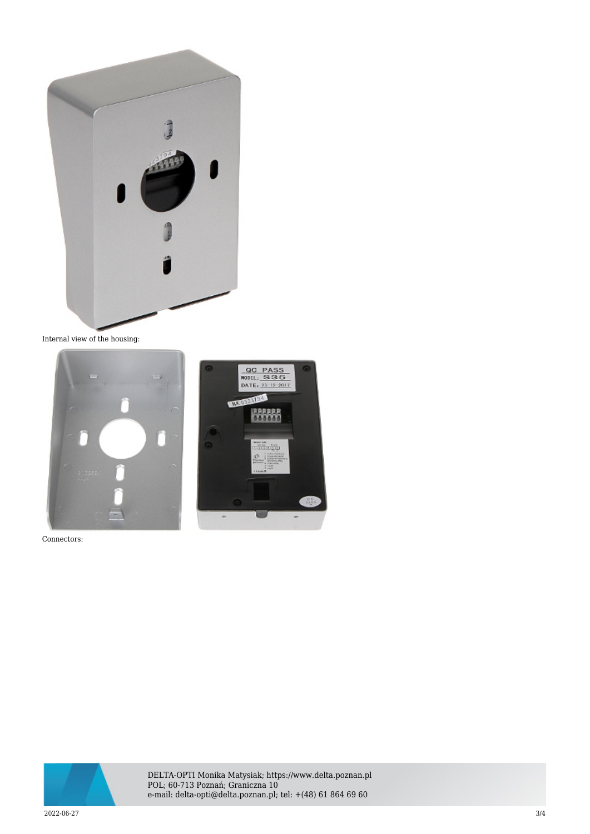

Internal view of the housing:



Connectors:



DELTA-OPTI Monika Matysiak; https://www.delta.poznan.pl POL; 60-713 Poznań; Graniczna 10 e-mail: delta-opti@delta.poznan.pl; tel: +(48) 61 864 69 60

2022-06-27 3/4